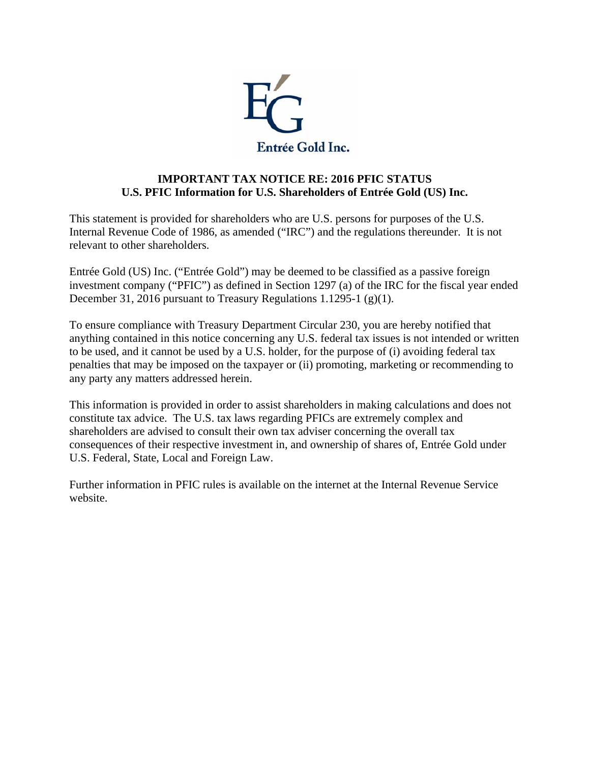

## **IMPORTANT TAX NOTICE RE: 2016 PFIC STATUS U.S. PFIC Information for U.S. Shareholders of Entrée Gold (US) Inc.**

This statement is provided for shareholders who are U.S. persons for purposes of the U.S. Internal Revenue Code of 1986, as amended ("IRC") and the regulations thereunder. It is not relevant to other shareholders.

Entrée Gold (US) Inc. ("Entrée Gold") may be deemed to be classified as a passive foreign investment company ("PFIC") as defined in Section 1297 (a) of the IRC for the fiscal year ended December 31, 2016 pursuant to Treasury Regulations 1.1295-1 (g)(1).

To ensure compliance with Treasury Department Circular 230, you are hereby notified that anything contained in this notice concerning any U.S. federal tax issues is not intended or written to be used, and it cannot be used by a U.S. holder, for the purpose of (i) avoiding federal tax penalties that may be imposed on the taxpayer or (ii) promoting, marketing or recommending to any party any matters addressed herein.

This information is provided in order to assist shareholders in making calculations and does not constitute tax advice. The U.S. tax laws regarding PFICs are extremely complex and shareholders are advised to consult their own tax adviser concerning the overall tax consequences of their respective investment in, and ownership of shares of, Entrée Gold under U.S. Federal, State, Local and Foreign Law.

Further information in PFIC rules is available on the internet at the Internal Revenue Service website.